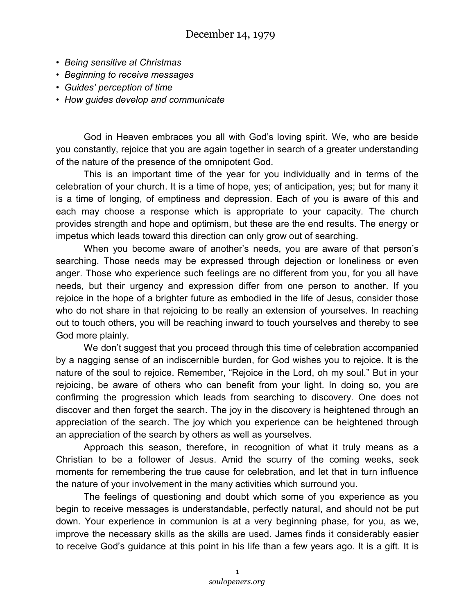- *Being sensitive at Christmas*
- *Beginning to receive messages*
- *Guides' perception of time*
- *How guides develop and communicate*

God in Heaven embraces you all with God's loving spirit. We, who are beside you constantly, rejoice that you are again together in search of a greater understanding of the nature of the presence of the omnipotent God.

This is an important time of the year for you individually and in terms of the celebration of your church. It is a time of hope, yes; of anticipation, yes; but for many it is a time of longing, of emptiness and depression. Each of you is aware of this and each may choose a response which is appropriate to your capacity. The church provides strength and hope and optimism, but these are the end results. The energy or impetus which leads toward this direction can only grow out of searching.

When you become aware of another's needs, you are aware of that person's searching. Those needs may be expressed through dejection or loneliness or even anger. Those who experience such feelings are no different from you, for you all have needs, but their urgency and expression differ from one person to another. If you rejoice in the hope of a brighter future as embodied in the life of Jesus, consider those who do not share in that rejoicing to be really an extension of yourselves. In reaching out to touch others, you will be reaching inward to touch yourselves and thereby to see God more plainly.

We don't suggest that you proceed through this time of celebration accompanied by a nagging sense of an indiscernible burden, for God wishes you to rejoice. It is the nature of the soul to rejoice. Remember, "Rejoice in the Lord, oh my soul." But in your rejoicing, be aware of others who can benefit from your light. In doing so, you are confirming the progression which leads from searching to discovery. One does not discover and then forget the search. The joy in the discovery is heightened through an appreciation of the search. The joy which you experience can be heightened through an appreciation of the search by others as well as yourselves.

Approach this season, therefore, in recognition of what it truly means as a Christian to be a follower of Jesus. Amid the scurry of the coming weeks, seek moments for remembering the true cause for celebration, and let that in turn influence the nature of your involvement in the many activities which surround you.

The feelings of questioning and doubt which some of you experience as you begin to receive messages is understandable, perfectly natural, and should not be put down. Your experience in communion is at a very beginning phase, for you, as we, improve the necessary skills as the skills are used. James finds it considerably easier to receive God's guidance at this point in his life than a few years ago. It is a gift. It is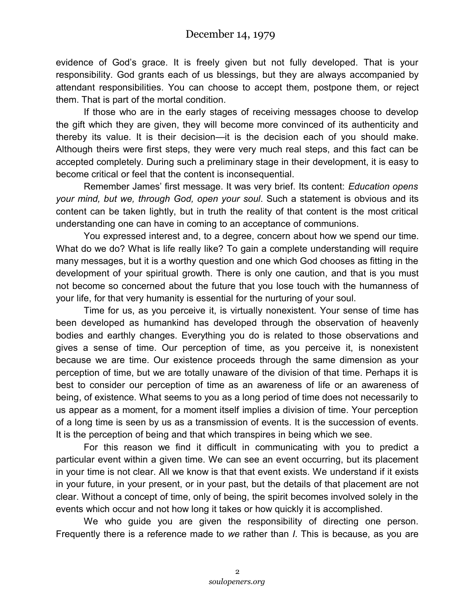evidence of God's grace. It is freely given but not fully developed. That is your responsibility. God grants each of us blessings, but they are always accompanied by attendant responsibilities. You can choose to accept them, postpone them, or reject them. That is part of the mortal condition.

If those who are in the early stages of receiving messages choose to develop the gift which they are given, they will become more convinced of its authenticity and thereby its value. It is their decision—it is the decision each of you should make. Although theirs were first steps, they were very much real steps, and this fact can be accepted completely. During such a preliminary stage in their development, it is easy to become critical or feel that the content is inconsequential.

Remember James' first message. It was very brief. Its content: *Education opens your mind, but we, through God, open your soul*. Such a statement is obvious and its content can be taken lightly, but in truth the reality of that content is the most critical understanding one can have in coming to an acceptance of communions.

You expressed interest and, to a degree, concern about how we spend our time. What do we do? What is life really like? To gain a complete understanding will require many messages, but it is a worthy question and one which God chooses as fitting in the development of your spiritual growth. There is only one caution, and that is you must not become so concerned about the future that you lose touch with the humanness of your life, for that very humanity is essential for the nurturing of your soul.

Time for us, as you perceive it, is virtually nonexistent. Your sense of time has been developed as humankind has developed through the observation of heavenly bodies and earthly changes. Everything you do is related to those observations and gives a sense of time. Our perception of time, as you perceive it, is nonexistent because we are time. Our existence proceeds through the same dimension as your perception of time, but we are totally unaware of the division of that time. Perhaps it is best to consider our perception of time as an awareness of life or an awareness of being, of existence. What seems to you as a long period of time does not necessarily to us appear as a moment, for a moment itself implies a division of time. Your perception of a long time is seen by us as a transmission of events. It is the succession of events. It is the perception of being and that which transpires in being which we see.

For this reason we find it difficult in communicating with you to predict a particular event within a given time. We can see an event occurring, but its placement in your time is not clear. All we know is that that event exists. We understand if it exists in your future, in your present, or in your past, but the details of that placement are not clear. Without a concept of time, only of being, the spirit becomes involved solely in the events which occur and not how long it takes or how quickly it is accomplished.

We who guide you are given the responsibility of directing one person. Frequently there is a reference made to *we* rather than *I*. This is because, as you are